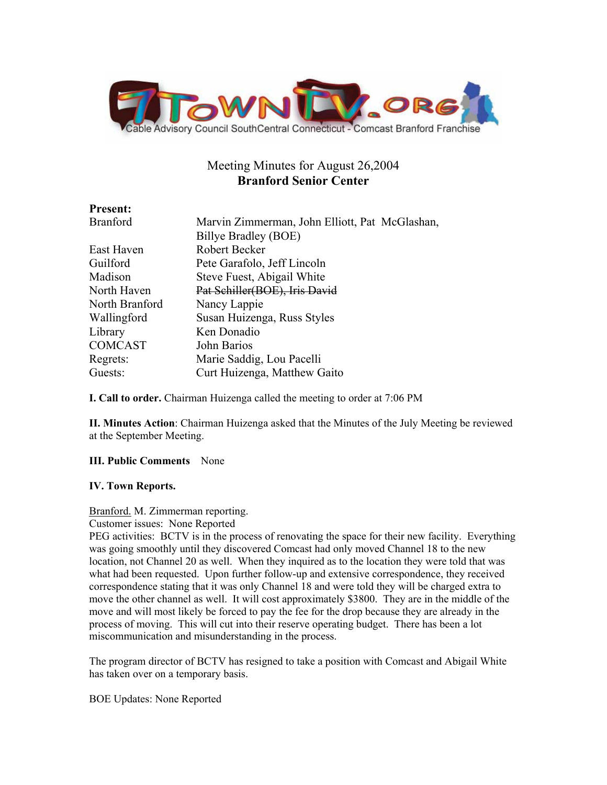

# Meeting Minutes for August 26,2004 **Branford Senior Center**

| <b>Present:</b> |                                                |
|-----------------|------------------------------------------------|
| <b>Branford</b> | Marvin Zimmerman, John Elliott, Pat McGlashan, |
|                 | Billye Bradley (BOE)                           |
| East Haven      | Robert Becker                                  |
| Guilford        | Pete Garafolo, Jeff Lincoln                    |
| Madison         | Steve Fuest, Abigail White                     |
| North Haven     | Pat Schiller(BOE), Iris David                  |
| North Branford  | Nancy Lappie                                   |
| Wallingford     | Susan Huizenga, Russ Styles                    |
| Library         | Ken Donadio                                    |
| <b>COMCAST</b>  | John Barios                                    |
| Regrets:        | Marie Saddig, Lou Pacelli                      |
| Guests:         | Curt Huizenga, Matthew Gaito                   |
|                 |                                                |

**I. Call to order.** Chairman Huizenga called the meeting to order at 7:06 PM

**II. Minutes Action**: Chairman Huizenga asked that the Minutes of the July Meeting be reviewed at the September Meeting.

## **III. Public Comments** None

## **IV. Town Reports.**

## Branford. M. Zimmerman reporting.

Customer issues: None Reported

PEG activities: BCTV is in the process of renovating the space for their new facility. Everything was going smoothly until they discovered Comcast had only moved Channel 18 to the new location, not Channel 20 as well. When they inquired as to the location they were told that was what had been requested. Upon further follow-up and extensive correspondence, they received correspondence stating that it was only Channel 18 and were told they will be charged extra to move the other channel as well. It will cost approximately \$3800. They are in the middle of the move and will most likely be forced to pay the fee for the drop because they are already in the process of moving. This will cut into their reserve operating budget. There has been a lot miscommunication and misunderstanding in the process.

The program director of BCTV has resigned to take a position with Comcast and Abigail White has taken over on a temporary basis.

BOE Updates: None Reported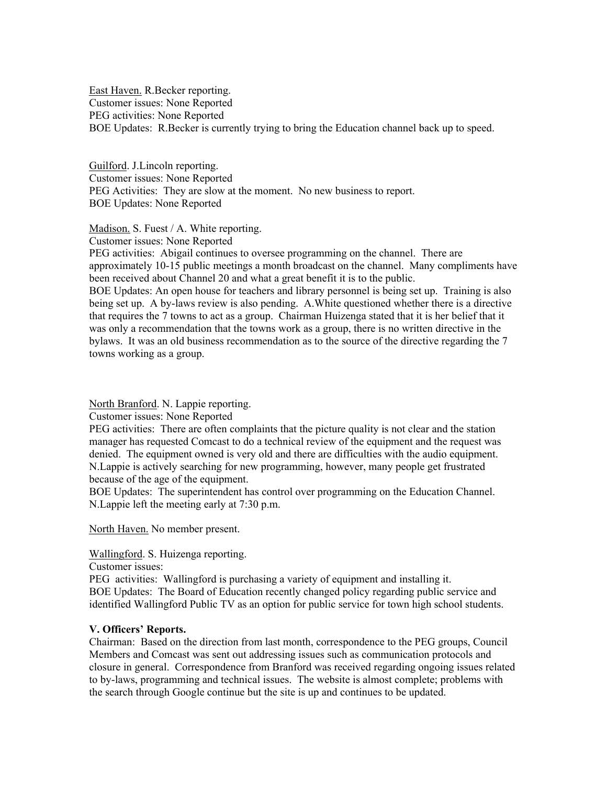East Haven. R.Becker reporting. Customer issues: None Reported PEG activities: None Reported BOE Updates: R.Becker is currently trying to bring the Education channel back up to speed.

Guilford. J.Lincoln reporting. Customer issues: None Reported PEG Activities: They are slow at the moment. No new business to report. BOE Updates: None Reported

Madison. S. Fuest / A. White reporting.

Customer issues: None Reported

PEG activities: Abigail continues to oversee programming on the channel. There are approximately 10-15 public meetings a month broadcast on the channel. Many compliments have been received about Channel 20 and what a great benefit it is to the public.

BOE Updates: An open house for teachers and library personnel is being set up. Training is also being set up. A by-laws review is also pending. A.White questioned whether there is a directive that requires the 7 towns to act as a group. Chairman Huizenga stated that it is her belief that it was only a recommendation that the towns work as a group, there is no written directive in the bylaws. It was an old business recommendation as to the source of the directive regarding the 7 towns working as a group.

North Branford. N. Lappie reporting.

Customer issues: None Reported

PEG activities: There are often complaints that the picture quality is not clear and the station manager has requested Comcast to do a technical review of the equipment and the request was denied. The equipment owned is very old and there are difficulties with the audio equipment. N.Lappie is actively searching for new programming, however, many people get frustrated because of the age of the equipment.

BOE Updates: The superintendent has control over programming on the Education Channel. N.Lappie left the meeting early at 7:30 p.m.

North Haven. No member present.

Wallingford. S. Huizenga reporting.

Customer issues:

PEG activities: Wallingford is purchasing a variety of equipment and installing it. BOE Updates: The Board of Education recently changed policy regarding public service and identified Wallingford Public TV as an option for public service for town high school students.

#### **V. Officers' Reports.**

Chairman: Based on the direction from last month, correspondence to the PEG groups, Council Members and Comcast was sent out addressing issues such as communication protocols and closure in general. Correspondence from Branford was received regarding ongoing issues related to by-laws, programming and technical issues. The website is almost complete; problems with the search through Google continue but the site is up and continues to be updated.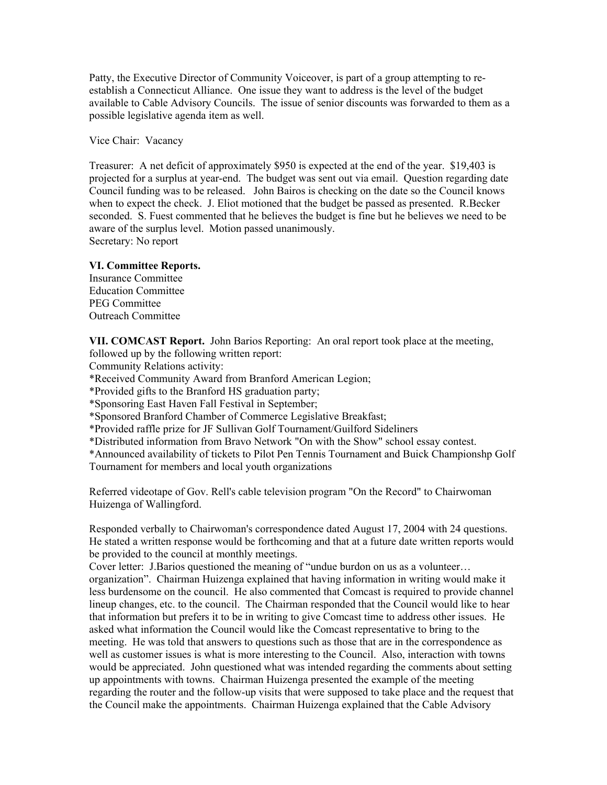Patty, the Executive Director of Community Voiceover, is part of a group attempting to reestablish a Connecticut Alliance. One issue they want to address is the level of the budget available to Cable Advisory Councils. The issue of senior discounts was forwarded to them as a possible legislative agenda item as well.

Vice Chair: Vacancy

Treasurer: A net deficit of approximately \$950 is expected at the end of the year. \$19,403 is projected for a surplus at year-end. The budget was sent out via email. Question regarding date Council funding was to be released. John Bairos is checking on the date so the Council knows when to expect the check. J. Eliot motioned that the budget be passed as presented. R.Becker seconded. S. Fuest commented that he believes the budget is fine but he believes we need to be aware of the surplus level. Motion passed unanimously. Secretary: No report

### **VI. Committee Reports.**

Insurance Committee Education Committee PEG Committee Outreach Committee

**VII. COMCAST Report.** John Barios Reporting: An oral report took place at the meeting, followed up by the following written report:

Community Relations activity:

\*Received Community Award from Branford American Legion;

\*Provided gifts to the Branford HS graduation party;

\*Sponsoring East Haven Fall Festival in September;

\*Sponsored Branford Chamber of Commerce Legislative Breakfast;

\*Provided raffle prize for JF Sullivan Golf Tournament/Guilford Sideliners

\*Distributed information from Bravo Network "On with the Show" school essay contest.

\*Announced availability of tickets to Pilot Pen Tennis Tournament and Buick Championshp Golf Tournament for members and local youth organizations

Referred videotape of Gov. Rell's cable television program "On the Record" to Chairwoman Huizenga of Wallingford.

Responded verbally to Chairwoman's correspondence dated August 17, 2004 with 24 questions. He stated a written response would be forthcoming and that at a future date written reports would be provided to the council at monthly meetings.

Cover letter: J.Barios questioned the meaning of "undue burdon on us as a volunteer… organization". Chairman Huizenga explained that having information in writing would make it less burdensome on the council. He also commented that Comcast is required to provide channel lineup changes, etc. to the council. The Chairman responded that the Council would like to hear that information but prefers it to be in writing to give Comcast time to address other issues. He asked what information the Council would like the Comcast representative to bring to the meeting. He was told that answers to questions such as those that are in the correspondence as well as customer issues is what is more interesting to the Council. Also, interaction with towns would be appreciated. John questioned what was intended regarding the comments about setting up appointments with towns. Chairman Huizenga presented the example of the meeting regarding the router and the follow-up visits that were supposed to take place and the request that the Council make the appointments. Chairman Huizenga explained that the Cable Advisory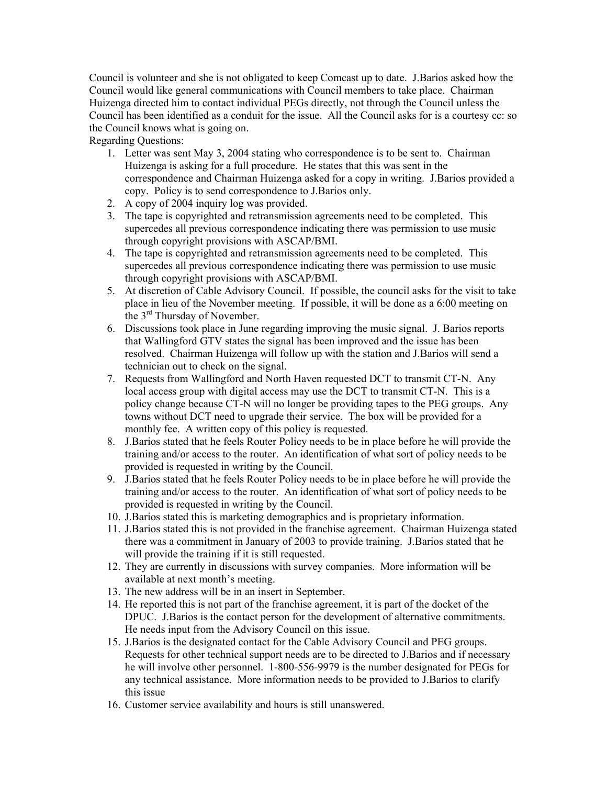Council is volunteer and she is not obligated to keep Comcast up to date. J.Barios asked how the Council would like general communications with Council members to take place. Chairman Huizenga directed him to contact individual PEGs directly, not through the Council unless the Council has been identified as a conduit for the issue. All the Council asks for is a courtesy cc: so the Council knows what is going on.

Regarding Questions:

- 1. Letter was sent May 3, 2004 stating who correspondence is to be sent to. Chairman Huizenga is asking for a full procedure. He states that this was sent in the correspondence and Chairman Huizenga asked for a copy in writing. J.Barios provided a copy. Policy is to send correspondence to J.Barios only.
- 2. A copy of 2004 inquiry log was provided.
- 3. The tape is copyrighted and retransmission agreements need to be completed. This supercedes all previous correspondence indicating there was permission to use music through copyright provisions with ASCAP/BMI.
- 4. The tape is copyrighted and retransmission agreements need to be completed. This supercedes all previous correspondence indicating there was permission to use music through copyright provisions with ASCAP/BMI.
- 5. At discretion of Cable Advisory Council. If possible, the council asks for the visit to take place in lieu of the November meeting. If possible, it will be done as a 6:00 meeting on the 3rd Thursday of November.
- 6. Discussions took place in June regarding improving the music signal. J. Barios reports that Wallingford GTV states the signal has been improved and the issue has been resolved. Chairman Huizenga will follow up with the station and J.Barios will send a technician out to check on the signal.
- 7. Requests from Wallingford and North Haven requested DCT to transmit CT-N. Any local access group with digital access may use the DCT to transmit CT-N. This is a policy change because CT-N will no longer be providing tapes to the PEG groups. Any towns without DCT need to upgrade their service. The box will be provided for a monthly fee. A written copy of this policy is requested.
- 8. J.Barios stated that he feels Router Policy needs to be in place before he will provide the training and/or access to the router. An identification of what sort of policy needs to be provided is requested in writing by the Council.
- 9. J.Barios stated that he feels Router Policy needs to be in place before he will provide the training and/or access to the router. An identification of what sort of policy needs to be provided is requested in writing by the Council.
- 10. J.Barios stated this is marketing demographics and is proprietary information.
- 11. J.Barios stated this is not provided in the franchise agreement. Chairman Huizenga stated there was a commitment in January of 2003 to provide training. J.Barios stated that he will provide the training if it is still requested.
- 12. They are currently in discussions with survey companies. More information will be available at next month's meeting.
- 13. The new address will be in an insert in September.
- 14. He reported this is not part of the franchise agreement, it is part of the docket of the DPUC. J.Barios is the contact person for the development of alternative commitments. He needs input from the Advisory Council on this issue.
- 15. J.Barios is the designated contact for the Cable Advisory Council and PEG groups. Requests for other technical support needs are to be directed to J.Barios and if necessary he will involve other personnel. 1-800-556-9979 is the number designated for PEGs for any technical assistance. More information needs to be provided to J.Barios to clarify this issue
- 16. Customer service availability and hours is still unanswered.